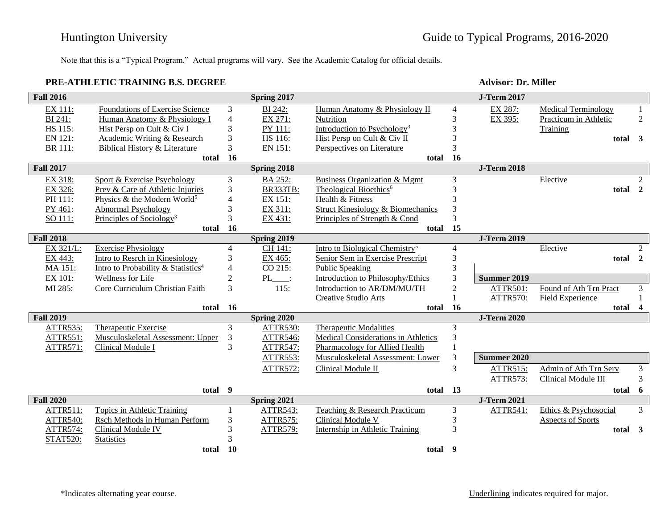Note that this is a "Typical Program." Actual programs will vary. See the Academic Catalog for official details.

## **PRE-ATHLETIC TRAINING B.S. DEGREE Advisor: Dr. Miller**

| <b>Fall 2016</b> |                                                |                          | Spring 2017     |                                            |                | <b>J-Term 2017</b> |                            |                |
|------------------|------------------------------------------------|--------------------------|-----------------|--------------------------------------------|----------------|--------------------|----------------------------|----------------|
| EX 111:          | <b>Foundations of Exercise Science</b>         | $\mathfrak{Z}$           | BI 242:         | Human Anatomy & Physiology II              | 4              | EX 287:            | <b>Medical Terminology</b> | 1              |
| BI 241:          | Human Anatomy & Physiology I                   | $\overline{4}$           | EX 271:         | Nutrition                                  | 3              | EX 395:            | Practicum in Athletic      | $\overline{2}$ |
| HS 115:          | Hist Persp on Cult & Civ I                     | 3                        | PY 111:         | Introduction to Psychology <sup>3</sup>    | 3              |                    | Training                   |                |
| EN 121:          | Academic Writing & Research                    | 3                        | HS 116:         | Hist Persp on Cult & Civ II                |                |                    | total 3                    |                |
| BR 111:          | Biblical History & Literature                  | 3                        | EN 151:         | Perspectives on Literature                 | 3              |                    |                            |                |
|                  | total                                          | <b>16</b>                |                 | total 16                                   |                |                    |                            |                |
| <b>Fall 2017</b> |                                                |                          | Spring 2018     |                                            |                | <b>J-Term 2018</b> |                            |                |
| EX 318:          | Sport & Exercise Psychology                    | 3                        | BA 252:         | Business Organization & Mgmt               | 3              |                    | Elective                   | 2              |
| EX 326:          | Prev & Care of Athletic Injuries               | 3                        | <b>BR333TB:</b> | Theological Bioethics <sup>6</sup>         | 3              |                    | total 2                    |                |
| PH 111:          | Physics & the Modern World <sup>5</sup>        | 4                        | EX 151:         | Health & Fitness                           | 3              |                    |                            |                |
| PY 461:          | <b>Abnormal Psychology</b>                     | 3                        | EX 311:         | Struct Kinesiology & Biomechanics          | 3              |                    |                            |                |
| SO 111:          | Principles of Sociology <sup>3</sup>           | $\overline{3}$           | EX 431:         | Principles of Strength & Cond              | 3              |                    |                            |                |
|                  | total                                          | 16                       |                 | total                                      | 15             |                    |                            |                |
| <b>Fall 2018</b> |                                                |                          | Spring 2019     |                                            |                | <b>J-Term 2019</b> |                            |                |
| EX 321/L:        | <b>Exercise Physiology</b>                     | $\overline{4}$           | CH 141:         | Intro to Biological Chemistry <sup>5</sup> | $\overline{4}$ |                    | Elective                   | $\overline{2}$ |
| EX 443:          | Intro to Resrch in Kinesiology                 | 3                        | EX 465:         | Senior Sem in Exercise Prescript           | 3              |                    | total 2                    |                |
| MA 151:          | Intro to Probability & Statistics <sup>4</sup> | $\overline{\mathcal{L}}$ | CO 215:         | Public Speaking                            | 3              |                    |                            |                |
| EX 101:          | Wellness for Life                              | $\overline{c}$           | $PL$ :          | Introduction to Philosophy/Ethics          | 3              | <b>Summer 2019</b> |                            |                |
| MI 285:          | Core Curriculum Christian Faith                | 3                        | 115:            | Introduction to AR/DM/MU/TH                | $\overline{2}$ | ATTR501:           | Found of Ath Trn Pract     | 3              |
|                  |                                                |                          |                 | Creative Studio Arts                       |                | <b>ATTR570:</b>    | <b>Field Experience</b>    |                |
|                  | total 16                                       |                          |                 | total 16                                   |                |                    | total 4                    |                |
| <b>Fall 2019</b> |                                                |                          | Spring 2020     |                                            |                | <b>J-Term 2020</b> |                            |                |
| ATTR535:         | <b>Therapeutic Exercise</b>                    | 3                        | <b>ATTR530:</b> | <b>Therapeutic Modalities</b>              | 3              |                    |                            |                |
| ATTR551:         | Musculoskeletal Assessment: Upper              | 3                        | <b>ATTR546:</b> | Medical Considerations in Athletics        | 3              |                    |                            |                |
| ATTR571:         | Clinical Module I                              | 3                        | <b>ATTR547:</b> | Pharmacology for Allied Health             |                |                    |                            |                |
|                  |                                                |                          | ATTR553:        | Musculoskeletal Assessment: Lower          | 3              | <b>Summer 2020</b> |                            |                |
|                  |                                                |                          | ATTR572:        | Clinical Module II                         | 3              | ATTR515:           | Admin of Ath Trn Serv      | $\mathfrak{Z}$ |
|                  |                                                |                          |                 |                                            |                | <b>ATTR573:</b>    | Clinical Module III        | 3              |
|                  | total 9                                        |                          |                 | total 13                                   |                |                    | total 6                    |                |
| <b>Fall 2020</b> |                                                |                          | Spring 2021     |                                            |                | <b>J-Term 2021</b> |                            |                |
| ATTR511:         | <b>Topics in Athletic Training</b>             | 1                        | ATTR543:        | Teaching & Research Practicum              | 3              | ATTR541:           | Ethics & Psychosocial      | 3              |
| <b>ATTR540:</b>  | Rsch Methods in Human Perform                  | $\mathfrak 3$            | ATTR575:        | Clinical Module V                          | 3              |                    | Aspects of Sports          |                |
| <b>ATTR574:</b>  | <b>Clinical Module IV</b>                      | 3                        | ATTR579:        | Internship in Athletic Training            | 3              |                    | total 3                    |                |
| <b>STAT520:</b>  | <b>Statistics</b>                              | 3                        |                 |                                            |                |                    |                            |                |
|                  | total                                          | 10                       |                 | total                                      | 9              |                    |                            |                |